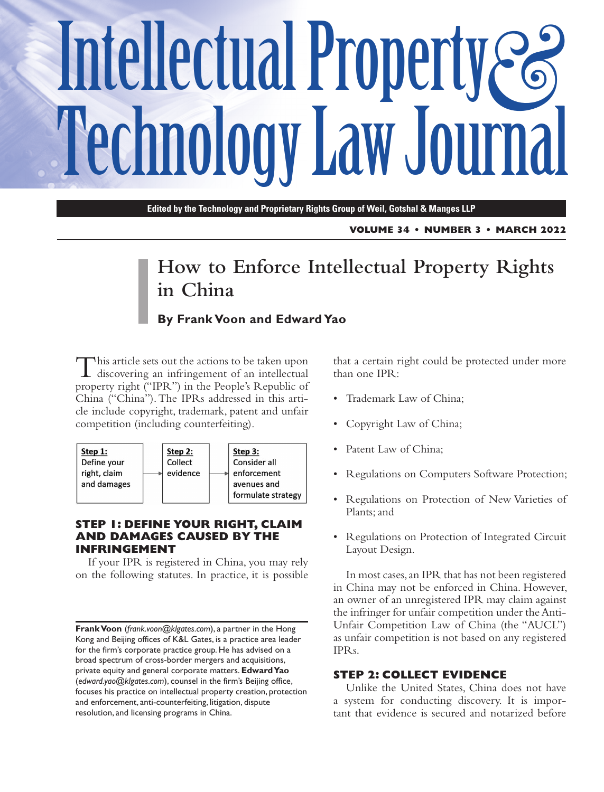# Intellectual Property **Technology Law Journal**

**Edited by the Technology and Proprietary Rights Group of Weil, Gotshal & Manges LLP**

**VOLUME 34 • NUMBER 3 • MARCH 2022**

# **How to Enforce Intellectual Property Rights in China**

# **By Frank Voon and Edward Yao**

This article sets out the actions to be taken upon<br>discovering an infringement of an intellectual property right ("IPR") in the People's Republic of China ("China"). The IPRs addressed in this article include copyright, trademark, patent and unfair competition (including counterfeiting).



#### **STEP 1: DEFINE YOUR RIGHT, CLAIM AND DAMAGES CAUSED BY THE INFRINGEMENT**

If your IPR is registered in China, you may rely on the following statutes. In practice, it is possible

that a certain right could be protected under more than one IPR:

- Trademark Law of China;
- Copyright Law of China;
- Patent Law of China;
- Regulations on Computers Software Protection;
- Regulations on Protection of New Varieties of Plants; and
- Regulations on Protection of Integrated Circuit Layout Design.

In most cases, an IPR that has not been registered in China may not be enforced in China. However, an owner of an unregistered IPR may claim against the infringer for unfair competition under the Anti-Unfair Competition Law of China (the "AUCL") as unfair competition is not based on any registered IPRs.

#### **STEP 2: COLLECT EVIDENCE**

Unlike the United States, China does not have a system for conducting discovery. It is important that evidence is secured and notarized before

**Frank Voon** (*frank.voon@klgates.com*), a partner in the Hong Kong and Beijing offices of K&L Gates, is a practice area leader for the firm's corporate practice group. He has advised on a broad spectrum of cross-border mergers and acquisitions, private equity and general corporate matters. **Edward Yao** (*edward.yao@klgates.com*), counsel in the firm's Beijing office, focuses his practice on intellectual property creation, protection and enforcement, anti-counterfeiting, litigation, dispute resolution, and licensing programs in China.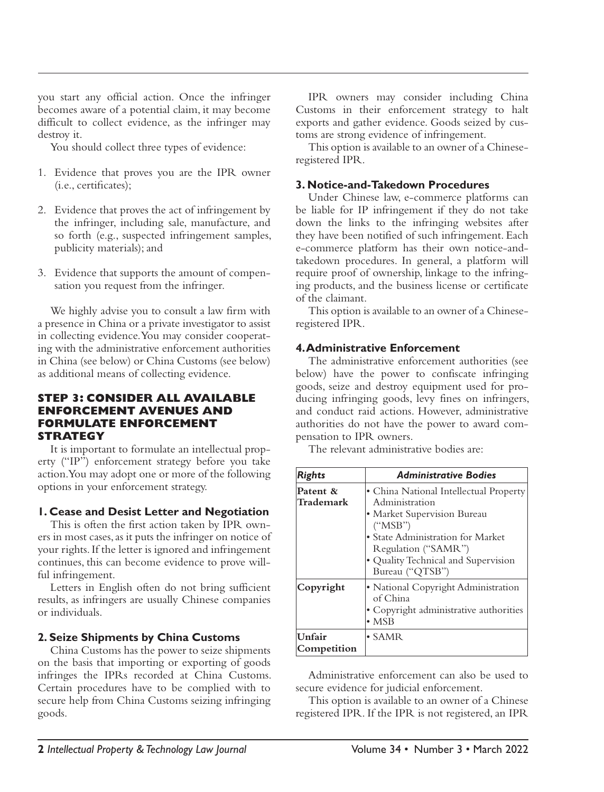you start any official action. Once the infringer becomes aware of a potential claim, it may become difficult to collect evidence, as the infringer may destroy it.

You should collect three types of evidence:

- 1. Evidence that proves you are the IPR owner (i.e., certificates);
- 2. Evidence that proves the act of infringement by the infringer, including sale, manufacture, and so forth (e.g., suspected infringement samples, publicity materials); and
- 3. Evidence that supports the amount of compensation you request from the infringer.

We highly advise you to consult a law firm with a presence in China or a private investigator to assist in collecting evidence. You may consider cooperating with the administrative enforcement authorities in China (see below) or China Customs (see below) as additional means of collecting evidence.

#### **STEP 3: CONSIDER ALL AVAILABLE ENFORCEMENT AVENUES AND FORMULATE ENFORCEMENT STRATEGY**

It is important to formulate an intellectual property ("IP") enforcement strategy before you take action. You may adopt one or more of the following options in your enforcement strategy.

#### **1. Cease and Desist Letter and Negotiation**

This is often the first action taken by IPR owners in most cases, as it puts the infringer on notice of your rights. If the letter is ignored and infringement continues, this can become evidence to prove willful infringement.

Letters in English often do not bring sufficient results, as infringers are usually Chinese companies or individuals.

#### **2. Seize Shipments by China Customs**

China Customs has the power to seize shipments on the basis that importing or exporting of goods infringes the IPRs recorded at China Customs. Certain procedures have to be complied with to secure help from China Customs seizing infringing goods.

IPR owners may consider including China Customs in their enforcement strategy to halt exports and gather evidence. Goods seized by customs are strong evidence of infringement.

This option is available to an owner of a Chineseregistered IPR.

#### **3. Notice-and-Takedown Procedures**

Under Chinese law, e-commerce platforms can be liable for IP infringement if they do not take down the links to the infringing websites after they have been notified of such infringement. Each e-commerce platform has their own notice-andtakedown procedures. In general, a platform will require proof of ownership, linkage to the infringing products, and the business license or certificate of the claimant.

This option is available to an owner of a Chineseregistered IPR.

## **4. Administrative Enforcement**

The administrative enforcement authorities (see below) have the power to confiscate infringing goods, seize and destroy equipment used for producing infringing goods, levy fines on infringers, and conduct raid actions. However, administrative authorities do not have the power to award compensation to IPR owners.

The relevant administrative bodies are:

| <b>Rights</b>         | <b>Administrative Bodies</b>                                                                                                                                                                                             |
|-----------------------|--------------------------------------------------------------------------------------------------------------------------------------------------------------------------------------------------------------------------|
| Patent &<br>Trademark | • China National Intellectual Property<br>Administration<br>• Market Supervision Bureau<br>("MSB")<br>• State Administration for Market<br>Regulation ("SAMR")<br>• Quality Technical and Supervision<br>Bureau ("QTSB") |
| Copyright             | • National Copyright Administration<br>of China<br>• Copyright administrative authorities<br>$\bullet$ MSB                                                                                                               |
| Unfair<br>Competition | $\bullet$ SAMR                                                                                                                                                                                                           |

Administrative enforcement can also be used to secure evidence for judicial enforcement.

This option is available to an owner of a Chinese registered IPR. If the IPR is not registered, an IPR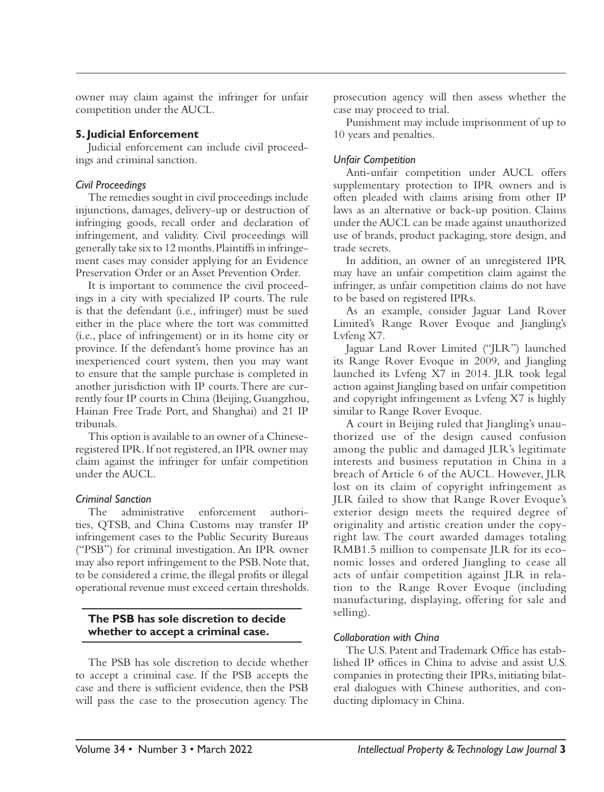owner may claim against the infringer for unfair competition under the AUCL.

#### **5. Judicial Enforcement**

Judicial enforcement can include civil proceedings and criminal sanction.

#### *Civil Proceedings*

The remedies sought in civil proceedings include injunctions, damages, delivery-up or destruction of infringing goods, recall order and declaration of infringement, and validity. Civil proceedings will generally take six to 12 months. Plaintiffs in infringement cases may consider applying for an Evidence Preservation Order or an Asset Prevention Order.

It is important to commence the civil proceedings in a city with specialized IP courts. The rule is that the defendant (i.e., infringer) must be sued either in the place where the tort was committed (i.e., place of infringement) or in its home city or province. If the defendant's home province has an inexperienced court system, then you may want to ensure that the sample purchase is completed in another jurisdiction with IP courts. There are currently four IP courts in China (Beijing, Guangzhou, Hainan Free Trade Port, and Shanghai) and 21 IP tribunals.

This option is available to an owner of a Chineseregistered IPR. If not registered, an IPR owner may claim against the infringer for unfair competition under the AUCL.

#### *Criminal Sanction*

The administrative enforcement authorities, QTSB, and China Customs may transfer IP infringement cases to the Public Security Bureaus ("PSB") for criminal investigation. An IPR owner may also report infringement to the PSB. Note that, to be considered a crime, the illegal profits or illegal operational revenue must exceed certain thresholds.

#### **The PSB has sole discretion to decide whether to accept a criminal case.**

The PSB has sole discretion to decide whether to accept a criminal case. If the PSB accepts the case and there is sufficient evidence, then the PSB will pass the case to the prosecution agency. The

prosecution agency will then assess whether the case may proceed to trial.

Punishment may include imprisonment of up to 10 years and penalties.

## *Unfair Competition*

Anti-unfair competition under AUCL offers supplementary protection to IPR owners and is often pleaded with claims arising from other IP laws as an alternative or back-up position. Claims under the AUCL can be made against unauthorized use of brands, product packaging, store design, and trade secrets.

In addition, an owner of an unregistered IPR may have an unfair competition claim against the infringer, as unfair competition claims do not have to be based on registered IPRs.

As an example, consider Jaguar Land Rover Limited's Range Rover Evoque and Jiangling's Lvfeng X7.

Jaguar Land Rover Limited ("JLR") launched its Range Rover Evoque in 2009, and Jiangling launched its Lvfeng X7 in 2014. JLR took legal action against Jiangling based on unfair competition and copyright infringement as Lvfeng X7 is highly similar to Range Rover Evoque.

A court in Beijing ruled that Jiangling's unauthorized use of the design caused confusion among the public and damaged JLR's legitimate interests and business reputation in China in a breach of Article 6 of the AUCL. However, JLR lost on its claim of copyright infringement as JLR failed to show that Range Rover Evoque's exterior design meets the required degree of originality and artistic creation under the copyright law. The court awarded damages totaling RMB1.5 million to compensate JLR for its economic losses and ordered Jiangling to cease all acts of unfair competition against JLR in relation to the Range Rover Evoque (including manufacturing, displaying, offering for sale and selling).

# *Collaboration with China*

The U.S. Patent and Trademark Office has established IP offices in China to advise and assist U.S. companies in protecting their IPRs, initiating bilateral dialogues with Chinese authorities, and conducting diplomacy in China.